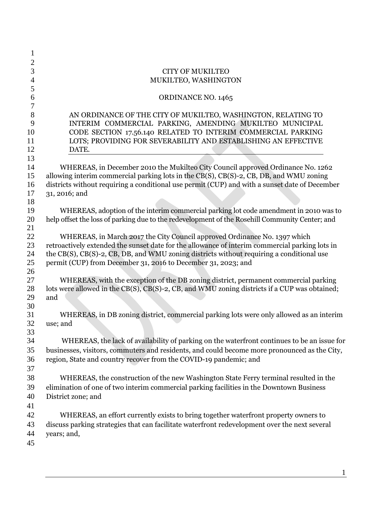| 1     |                                                                                                |
|-------|------------------------------------------------------------------------------------------------|
| 2     |                                                                                                |
| 3     | <b>CITY OF MUKILTEO</b>                                                                        |
| 4     | MUKILTEO, WASHINGTON                                                                           |
| 5     |                                                                                                |
| 6     | ORDINANCE NO. 1465                                                                             |
| 7     |                                                                                                |
| $8\,$ | AN ORDINANCE OF THE CITY OF MUKILTEO, WASHINGTON, RELATING TO                                  |
| 9     | INTERIM COMMERCIAL PARKING, AMENDING MUKILTEO MUNICIPAL                                        |
| 10    | CODE SECTION 17.56.140 RELATED TO INTERIM COMMERCIAL PARKING                                   |
| 11    | LOTS; PROVIDING FOR SEVERABILITY AND ESTABLISHING AN EFFECTIVE                                 |
| 12    | DATE.                                                                                          |
| 13    |                                                                                                |
| 14    | WHEREAS, in December 2010 the Mukilteo City Council approved Ordinance No. 1262                |
| 15    | allowing interim commercial parking lots in the CB(S), CB(S)-2, CB, DB, and WMU zoning         |
| 16    | districts without requiring a conditional use permit (CUP) and with a sunset date of December  |
| 17    | 31, 2016; and                                                                                  |
| 18    |                                                                                                |
| 19    | WHEREAS, adoption of the interim commercial parking lot code amendment in 2010 was to          |
| 20    | help offset the loss of parking due to the redevelopment of the Rosehill Community Center; and |
| 21    |                                                                                                |
| 22    | WHEREAS, in March 2017 the City Council approved Ordinance No. 1397 which                      |
| 23    | retroactively extended the sunset date for the allowance of interim commercial parking lots in |
| 24    | the CB(S), CB(S)-2, CB, DB, and WMU zoning districts without requiring a conditional use       |
| 25    | permit (CUP) from December 31, 2016 to December 31, 2023; and                                  |
| 26    |                                                                                                |
| 27    | WHEREAS, with the exception of the DB zoning district, permanent commercial parking            |
| 28    | lots were allowed in the CB(S), CB(S)-2, CB, and WMU zoning districts if a CUP was obtained;   |
| 29    | and                                                                                            |
| 30    |                                                                                                |
| 31    | WHEREAS, in DB zoning district, commercial parking lots were only allowed as an interim        |
| 32    | use; and                                                                                       |
| 33    |                                                                                                |
| 34    | WHEREAS, the lack of availability of parking on the waterfront continues to be an issue for    |
| 35    | businesses, visitors, commuters and residents, and could become more pronounced as the City,   |
| 36    | region, State and country recover from the COVID-19 pandemic; and                              |
| 37    |                                                                                                |
| 38    | WHEREAS, the construction of the new Washington State Ferry terminal resulted in the           |
| 39    | elimination of one of two interim commercial parking facilities in the Downtown Business       |
| 40    | District zone; and                                                                             |
| 41    |                                                                                                |
| 42    | WHEREAS, an effort currently exists to bring together waterfront property owners to            |
| 43    | discuss parking strategies that can facilitate waterfront redevelopment over the next several  |
| 44    | years; and,                                                                                    |
| 45    |                                                                                                |
|       |                                                                                                |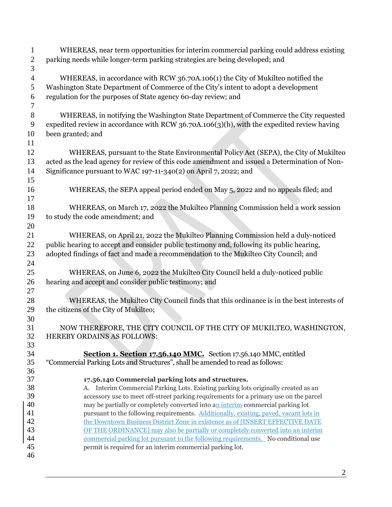WHEREAS, near term opportunities for interim commercial parking could address existing parking needs while longer-term parking strategies are being developed; and WHEREAS, in accordance with RCW [36.70A.106\(](http://app.leg.wa.gov/RCW/default.aspx?cite=36.70A.106)1) the City of Mukilteo notified the Washington State Department of Commerce of the City's intent to adopt a development regulation for the purposes of State agency 60-day review; and WHEREAS, in notifying the Washington State Department of Commerce the City requested expedited review in accordance with RCW 36.70A.106(3)(b), with the expedited review having been granted; and WHEREAS, pursuant to the State Environmental Policy Act (SEPA), the City of Mukilteo acted as the lead agency for review of this code amendment and issued a Determination of Non- Significance pursuant to WAC 197-11-340(2) on April 7, 2022; and WHEREAS, the SEPA appeal period ended on May 5, 2022 and no appeals filed; and WHEREAS, on March 17, 2022 the Mukilteo Planning Commission held a work session to study the code amendment; and WHEREAS, on April 21, 2022 the Mukilteo Planning Commission held a duly-noticed public hearing to accept and consider public testimony and, following its public hearing, adopted findings of fact and made a recommendation to the Mukilteo City Council; and WHEREAS, on June 6, 2022 the Mukilteo City Council held a duly-noticed public hearing and accept and consider public testimony; and WHEREAS, the Mukilteo City Council finds that this ordinance is in the best interests of the citizens of the City of Mukilteo; NOW THEREFORE, THE CITY COUNCIL OF THE CITY OF MUKILTEO, WASHINGTON, HEREBY ORDAINS AS FOLLOWS: **Section 1. Section 17.56.140 MMC.** Section 17.56.140 MMC, entitled "Commercial Parking Lots and Structures", shall be amended to read as follows: **17.56.140 Commercial parking lots and structures.** A. Interim Commercial Parking Lots. Existing parking lots originally created as an accessory use to meet off-street parking requirements for a primary use on the parcel 40 may be partially or completely converted into an interim commercial parking lot pursuant to the following requirements. Additionally, existing, paved, vacant lots in 42 the Downtown Business District Zone in existence as of [INSERT EFFECTIVE DATE OF THE ORDINANCE] may also be partially or completely converted into an interim commercial parking lot pursuant to the following requirements. No conditional use permit is required for an interim commercial parking lot.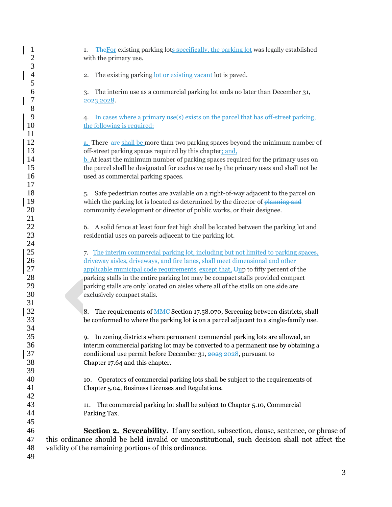| $\mathbf{1}$<br>$\overline{c}$<br>3 | The For existing parking lots specifically, the parking lot was legally established<br>1.<br>with the primary use.                                     |  |
|-------------------------------------|--------------------------------------------------------------------------------------------------------------------------------------------------------|--|
| $\overline{4}$<br>5                 | The existing parking lot or existing vacant lot is paved.<br>2.                                                                                        |  |
| 6<br>7                              | The interim use as a commercial parking lot ends no later than December 31,<br>3.<br>2023 2028.                                                        |  |
| $\,$ $\,$<br>9<br>10                | In cases where a primary use(s) exists on the parcel that has off-street parking,<br>4.<br>the following is required:                                  |  |
| 11                                  |                                                                                                                                                        |  |
| 12                                  | a. There are shall be more than two parking spaces beyond the minimum number of                                                                        |  |
| 13                                  | off-street parking spaces required by this chapter; and,                                                                                               |  |
| 14                                  | <b>b.</b> At least the minimum number of parking spaces required for the primary uses on                                                               |  |
| 15                                  | the parcel shall be designated for exclusive use by the primary uses and shall not be                                                                  |  |
| 16                                  | used as commercial parking spaces.                                                                                                                     |  |
| 17                                  |                                                                                                                                                        |  |
| 18                                  | Safe pedestrian routes are available on a right-of-way adjacent to the parcel on<br>5.                                                                 |  |
| 19                                  | which the parking lot is located as determined by the director of planning and                                                                         |  |
| 20<br>21                            | community development or director of public works, or their designee.                                                                                  |  |
| 22                                  | 6. A solid fence at least four feet high shall be located between the parking lot and                                                                  |  |
| 23                                  | residential uses on parcels adjacent to the parking lot.                                                                                               |  |
| 24                                  |                                                                                                                                                        |  |
| 25                                  | 7. The interim commercial parking lot, including but not limited to parking spaces,                                                                    |  |
| 26                                  | driveway aisles, driveways, and fire lanes, shall meet dimensional and other                                                                           |  |
| 27                                  | applicable municipal code requirements: except that, Uup to fifty percent of the                                                                       |  |
| 28                                  | parking stalls in the entire parking lot may be compact stalls provided compact                                                                        |  |
| 29                                  | parking stalls are only located on aisles where all of the stalls on one side are                                                                      |  |
| 30                                  | exclusively compact stalls.                                                                                                                            |  |
| 31                                  |                                                                                                                                                        |  |
| 32                                  | The requirements of <b>MMC</b> Section 17.58.070, Screening between districts, shall<br>8.                                                             |  |
| 33                                  | be conformed to where the parking lot is on a parcel adjacent to a single-family use.                                                                  |  |
| 34                                  |                                                                                                                                                        |  |
| 35                                  | 9. In zoning districts where permanent commercial parking lots are allowed, an                                                                         |  |
| 36                                  | interim commercial parking lot may be converted to a permanent use by obtaining a                                                                      |  |
| 37                                  | conditional use permit before December 31, 2023 2028, pursuant to                                                                                      |  |
| 38                                  | Chapter 17.64 and this chapter.                                                                                                                        |  |
| 39                                  |                                                                                                                                                        |  |
| 40                                  | 10. Operators of commercial parking lots shall be subject to the requirements of                                                                       |  |
| 41                                  | Chapter 5.04, Business Licenses and Regulations.                                                                                                       |  |
| 42                                  |                                                                                                                                                        |  |
| 43                                  | The commercial parking lot shall be subject to Chapter 5.10, Commercial<br>11.                                                                         |  |
| 44                                  | Parking Tax.                                                                                                                                           |  |
| 45                                  |                                                                                                                                                        |  |
| 46                                  | Section 2. Severability. If any section, subsection, clause, sentence, or phrase of                                                                    |  |
| 47<br>48                            | this ordinance should be held invalid or unconstitutional, such decision shall not affect the<br>validity of the remaining portions of this ordinance. |  |
| 49                                  |                                                                                                                                                        |  |
|                                     |                                                                                                                                                        |  |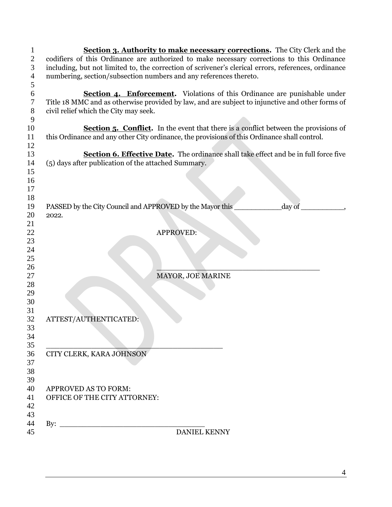| $\overline{c}$ | <b>Section 3. Authority to make necessary corrections.</b> The City Clerk and the<br>codifiers of this Ordinance are authorized to make necessary corrections to this Ordinance |
|----------------|---------------------------------------------------------------------------------------------------------------------------------------------------------------------------------|
| 3              | including, but not limited to, the correction of scrivener's clerical errors, references, ordinance                                                                             |
| $\overline{4}$ | numbering, section/subsection numbers and any references thereto.                                                                                                               |
| 5              |                                                                                                                                                                                 |
| 6              | <b>Section 4. Enforcement.</b> Violations of this Ordinance are punishable under                                                                                                |
| 7              | Title 18 MMC and as otherwise provided by law, and are subject to injunctive and other forms of                                                                                 |
| $8\phantom{1}$ | civil relief which the City may seek.                                                                                                                                           |
| 9              |                                                                                                                                                                                 |
| 10             | <b>Section 5. Conflict.</b> In the event that there is a conflict between the provisions of                                                                                     |
| 11             | this Ordinance and any other City ordinance, the provisions of this Ordinance shall control.                                                                                    |
| 12             |                                                                                                                                                                                 |
| 13             | Section 6. Effective Date. The ordinance shall take effect and be in full force five                                                                                            |
|                | (5) days after publication of the attached Summary.                                                                                                                             |
| 14             |                                                                                                                                                                                 |
| 15             |                                                                                                                                                                                 |
| 16             |                                                                                                                                                                                 |
| 17             |                                                                                                                                                                                 |
| 18             |                                                                                                                                                                                 |
| 19             | PASSED by the City Council and APPROVED by the Mayor this<br>day of                                                                                                             |
| 20             | 2022.                                                                                                                                                                           |
| 21             |                                                                                                                                                                                 |
| 22             | <b>APPROVED:</b>                                                                                                                                                                |
| 23             |                                                                                                                                                                                 |
| 24             |                                                                                                                                                                                 |
| 25             |                                                                                                                                                                                 |
| 26             |                                                                                                                                                                                 |
| 27             | MAYOR, JOE MARINE                                                                                                                                                               |
| 28             |                                                                                                                                                                                 |
| 29             |                                                                                                                                                                                 |
| 30             |                                                                                                                                                                                 |
| 31             |                                                                                                                                                                                 |
| 32             | ATTEST/AUTHENTICATED:                                                                                                                                                           |
| 33             |                                                                                                                                                                                 |
| 34             |                                                                                                                                                                                 |
| 35             |                                                                                                                                                                                 |
| 36             | CITY CLERK, KARA JOHNSON                                                                                                                                                        |
| 37             |                                                                                                                                                                                 |
| 38             |                                                                                                                                                                                 |
| 39             |                                                                                                                                                                                 |
| 40             | <b>APPROVED AS TO FORM:</b>                                                                                                                                                     |
| 41             | OFFICE OF THE CITY ATTORNEY:                                                                                                                                                    |
| 42             |                                                                                                                                                                                 |
| 43             |                                                                                                                                                                                 |
| 44             | By: $\qquad \qquad$                                                                                                                                                             |
| 45             | DANIEL KENNY                                                                                                                                                                    |